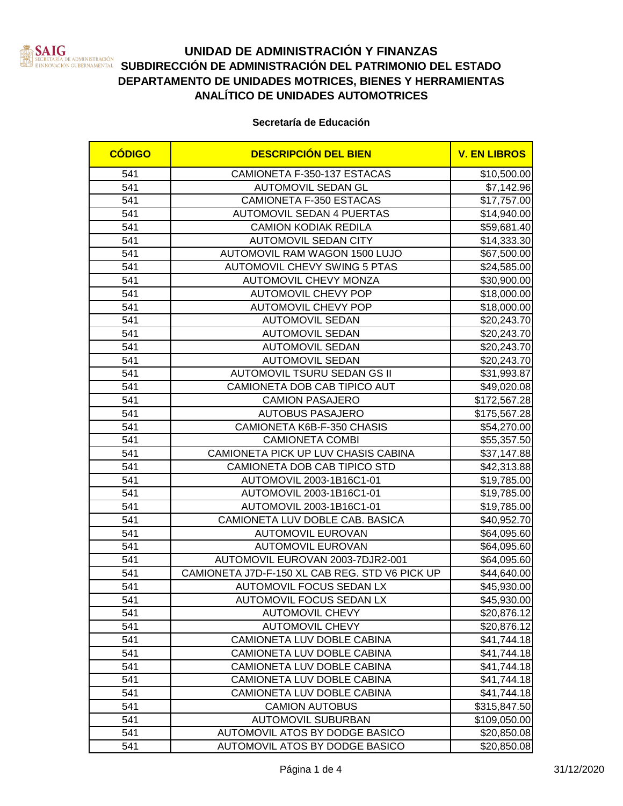

# **UNIDAD DE ADMINISTRACIÓN Y FINANZAS SUBDIRECCIÓN DE ADMINISTRACIÓN DEL PATRIMONIO DEL ESTADO**<br>INNOVACIÓN CUBENAMENTAL SUBDIRECCIÓN DE ADMINISTRACIÓN DEL PATRIMONIO DEL ESTADO **DEPARTAMENTO DE UNIDADES MOTRICES, BIENES Y HERRAMIENTAS ANALÍTICO DE UNIDADES AUTOMOTRICES**

### **Secretaría de Educación**

| <b>CÓDIGO</b> | <b>DESCRIPCIÓN DEL BIEN</b>                    | <b>V. EN LIBROS</b> |
|---------------|------------------------------------------------|---------------------|
| 541           | CAMIONETA F-350-137 ESTACAS                    | \$10,500.00         |
| 541           | AUTOMOVIL SEDAN GL                             | \$7,142.96          |
| 541           | <b>CAMIONETA F-350 ESTACAS</b>                 | \$17,757.00         |
| 541           | <b>AUTOMOVIL SEDAN 4 PUERTAS</b>               | \$14,940.00         |
| 541           | <b>CAMION KODIAK REDILA</b>                    | \$59,681.40         |
| 541           | <b>AUTOMOVIL SEDAN CITY</b>                    | \$14,333.30         |
| 541           | AUTOMOVIL RAM WAGON 1500 LUJO                  | \$67,500.00         |
| 541           | <b>AUTOMOVIL CHEVY SWING 5 PTAS</b>            | \$24,585.00         |
| 541           | <b>AUTOMOVIL CHEVY MONZA</b>                   | \$30,900.00         |
| 541           | <b>AUTOMOVIL CHEVY POP</b>                     | \$18,000.00         |
| 541           | <b>AUTOMOVIL CHEVY POP</b>                     | \$18,000.00         |
| 541           | <b>AUTOMOVIL SEDAN</b>                         | \$20,243.70         |
| 541           | <b>AUTOMOVIL SEDAN</b>                         | \$20,243.70         |
| 541           | <b>AUTOMOVIL SEDAN</b>                         | \$20,243.70         |
| 541           | <b>AUTOMOVIL SEDAN</b>                         | \$20,243.70         |
| 541           | AUTOMOVIL TSURU SEDAN GS II                    | \$31,993.87         |
| 541           | CAMIONETA DOB CAB TIPICO AUT                   | \$49,020.08         |
| 541           | <b>CAMION PASAJERO</b>                         | \$172,567.28        |
| 541           | <b>AUTOBUS PASAJERO</b>                        | \$175,567.28        |
| 541           | CAMIONETA K6B-F-350 CHASIS                     | \$54,270.00         |
| 541           | <b>CAMIONETA COMBI</b>                         | \$55,357.50         |
| 541           | CAMIONETA PICK UP LUV CHASIS CABINA            | \$37,147.88         |
| 541           | CAMIONETA DOB CAB TIPICO STD                   | \$42,313.88         |
| 541           | AUTOMOVIL 2003-1B16C1-01                       | \$19,785.00         |
| 541           | AUTOMOVIL 2003-1B16C1-01                       | \$19,785.00         |
| 541           | AUTOMOVIL 2003-1B16C1-01                       | \$19,785.00         |
| 541           | CAMIONETA LUV DOBLE CAB. BASICA                | \$40,952.70         |
| 541           | <b>AUTOMOVIL EUROVAN</b>                       | \$64,095.60         |
| 541           | <b>AUTOMOVIL EUROVAN</b>                       | \$64,095.60         |
| 541           | AUTOMOVIL EUROVAN 2003-7DJR2-001               | \$64,095.60         |
| 541           | CAMIONETA J7D-F-150 XL CAB REG. STD V6 PICK UP | \$44,640.00         |
| 541           | AUTOMOVIL FOCUS SEDAN LX                       | \$45,930.00         |
| 541           | <b>AUTOMOVIL FOCUS SEDAN LX</b>                | \$45,930.00         |
| 541           | <b>AUTOMOVIL CHEVY</b>                         | \$20,876.12]        |
| 541           | <b>AUTOMOVIL CHEVY</b>                         | \$20,876.12]        |
| 541           | CAMIONETA LUV DOBLE CABINA                     | \$41,744.18         |
| 541           | CAMIONETA LUV DOBLE CABINA                     | \$41,744.18         |
| 541           | CAMIONETA LUV DOBLE CABINA                     | \$41,744.18         |
| 541           | CAMIONETA LUV DOBLE CABINA                     | \$41,744.18         |
| 541           | CAMIONETA LUV DOBLE CABINA                     | \$41,744.18         |
| 541           | <b>CAMION AUTOBUS</b>                          | \$315,847.50        |
| 541           | <b>AUTOMOVIL SUBURBAN</b>                      | \$109,050.00        |
| 541           | AUTOMOVIL ATOS BY DODGE BASICO                 | \$20,850.08]        |
| 541           | AUTOMOVIL ATOS BY DODGE BASICO                 | \$20,850.08         |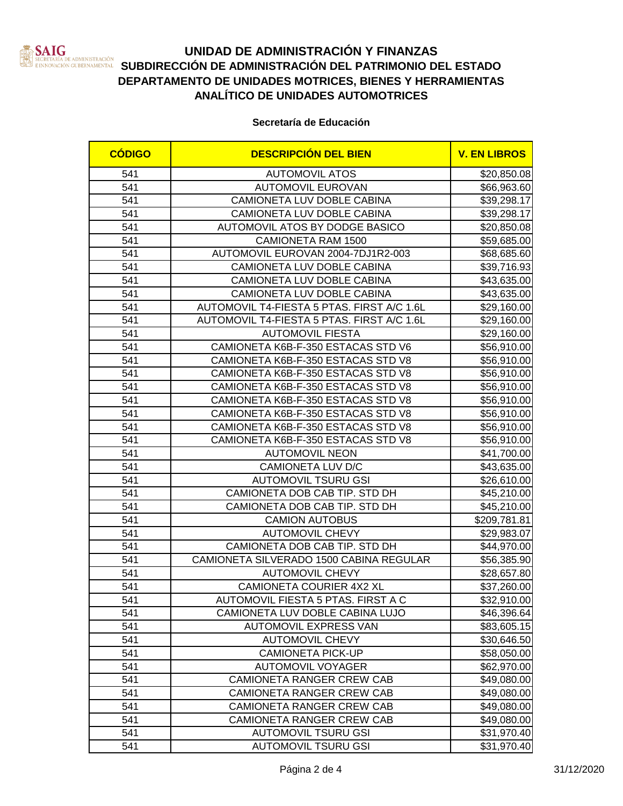

## **UNIDAD DE ADMINISTRACIÓN Y FINANZAS SUBDIRECCIÓN DE ADMINISTRACIÓN DEL PATRIMONIO DEL ESTADO DEPARTAMENTO DE UNIDADES MOTRICES, BIENES Y HERRAMIENTAS ANALÍTICO DE UNIDADES AUTOMOTRICES**

### **Secretaría de Educación**

| <b>CÓDIGO</b> | <b>DESCRIPCIÓN DEL BIEN</b>                | <b>V. EN LIBROS</b> |
|---------------|--------------------------------------------|---------------------|
| 541           | <b>AUTOMOVIL ATOS</b>                      | \$20,850.08]        |
| 541           | <b>AUTOMOVIL EUROVAN</b>                   | \$66,963.60         |
| 541           | CAMIONETA LUV DOBLE CABINA                 | \$39,298.17         |
| 541           | CAMIONETA LUV DOBLE CABINA                 | \$39,298.17         |
| 541           | AUTOMOVIL ATOS BY DODGE BASICO             | \$20,850.08         |
| 541           | <b>CAMIONETA RAM 1500</b>                  | \$59,685.00         |
| 541           | AUTOMOVIL EUROVAN 2004-7DJ1R2-003          | \$68,685.60         |
| 541           | CAMIONETA LUV DOBLE CABINA                 | \$39,716.93         |
| 541           | CAMIONETA LUV DOBLE CABINA                 | \$43,635.00         |
| 541           | CAMIONETA LUV DOBLE CABINA                 | \$43,635.00         |
| 541           | AUTOMOVIL T4-FIESTA 5 PTAS. FIRST A/C 1.6L | \$29,160.00         |
| 541           | AUTOMOVIL T4-FIESTA 5 PTAS. FIRST A/C 1.6L | \$29,160.00         |
| 541           | <b>AUTOMOVIL FIESTA</b>                    | \$29,160.00         |
| 541           | CAMIONETA K6B-F-350 ESTACAS STD V6         | \$56,910.00         |
| 541           | CAMIONETA K6B-F-350 ESTACAS STD V8         | \$56,910.00         |
| 541           | CAMIONETA K6B-F-350 ESTACAS STD V8         | \$56,910.00         |
| 541           | CAMIONETA K6B-F-350 ESTACAS STD V8         | \$56,910.00         |
| 541           | CAMIONETA K6B-F-350 ESTACAS STD V8         | \$56,910.00         |
| 541           | CAMIONETA K6B-F-350 ESTACAS STD V8         | \$56,910.00         |
| 541           | CAMIONETA K6B-F-350 ESTACAS STD V8         | \$56,910.00         |
| 541           | CAMIONETA K6B-F-350 ESTACAS STD V8         | \$56,910.00         |
| 541           | <b>AUTOMOVIL NEON</b>                      | \$41,700.00         |
| 541           | CAMIONETA LUV D/C                          | \$43,635.00         |
| 541           | <b>AUTOMOVIL TSURU GSI</b>                 | \$26,610.00         |
| 541           | CAMIONETA DOB CAB TIP. STD DH              | \$45,210.00         |
| 541           | CAMIONETA DOB CAB TIP. STD DH              | \$45,210.00         |
| 541           | <b>CAMION AUTOBUS</b>                      | \$209,781.81        |
| 541           | <b>AUTOMOVIL CHEVY</b>                     | \$29,983.07         |
| 541           | CAMIONETA DOB CAB TIP. STD DH              | \$44,970.00         |
| 541           | CAMIONETA SILVERADO 1500 CABINA REGULAR    | \$56,385.90         |
| 541           | <b>AUTOMOVIL CHEVY</b>                     | \$28,657.80         |
| 541           | CAMIONETA COURIER 4X2 XL                   | \$37,260.00         |
| 541           | AUTOMOVIL FIESTA 5 PTAS. FIRST A C         | \$32,910.00         |
| 541           | CAMIONETA LUV DOBLE CABINA LUJO            | \$46,396.64         |
| 541           | <b>AUTOMOVIL EXPRESS VAN</b>               | \$83,605.15         |
| 541           | <b>AUTOMOVIL CHEVY</b>                     | \$30,646.50         |
| 541           | <b>CAMIONETA PICK-UP</b>                   | \$58,050.00         |
| 541           | <b>AUTOMOVIL VOYAGER</b>                   | \$62,970.00         |
| 541           | <b>CAMIONETA RANGER CREW CAB</b>           | \$49,080.00         |
| 541           | CAMIONETA RANGER CREW CAB                  | \$49,080.00         |
| 541           | CAMIONETA RANGER CREW CAB                  | \$49,080.00         |
| 541           | CAMIONETA RANGER CREW CAB                  | \$49,080.00         |
| 541           | <b>AUTOMOVIL TSURU GSI</b>                 | \$31,970.40         |
| 541           | <b>AUTOMOVIL TSURU GSI</b>                 | \$31,970.40         |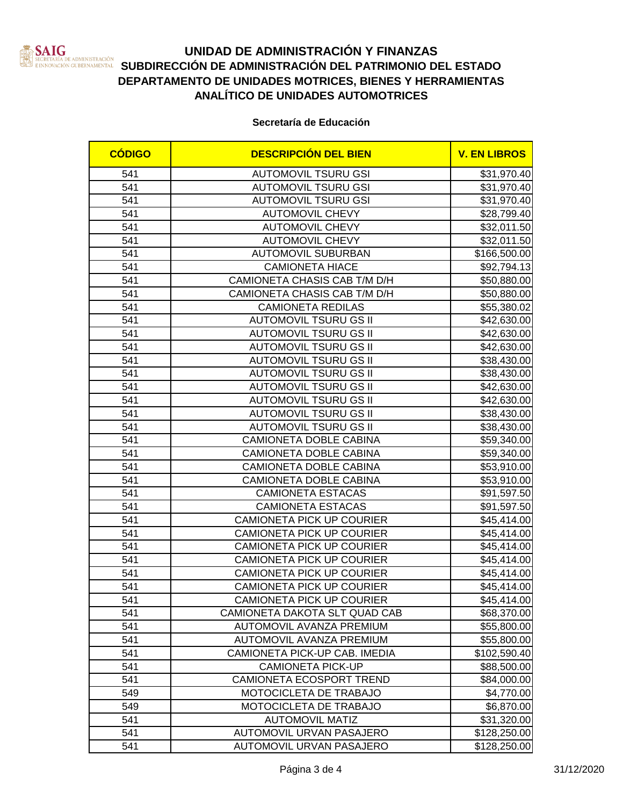

# **UNIDAD DE ADMINISTRACIÓN Y FINANZAS SATIVE DE ADMINISTRACIÓN SUBDIRECCIÓN DE ADMINISTRACIÓN DEL PATRIMONIO DEL ESTADO**<br>Innovación qubernamental SUBDIRECCIÓN DE ADMINISTRACIÓN DEL PATRIMONIO DEL ESTADO **DEPARTAMENTO DE UNIDADES MOTRICES, BIENES Y HERRAMIENTAS ANALÍTICO DE UNIDADES AUTOMOTRICES**

### **Secretaría de Educación**

| <b>CÓDIGO</b> | <b>DESCRIPCIÓN DEL BIEN</b>      | <b>V. EN LIBROS</b> |
|---------------|----------------------------------|---------------------|
| 541           | <b>AUTOMOVIL TSURU GSI</b>       | \$31,970.40         |
| 541           | <b>AUTOMOVIL TSURU GSI</b>       | \$31,970.40         |
| 541           | <b>AUTOMOVIL TSURU GSI</b>       | \$31,970.40         |
| 541           | <b>AUTOMOVIL CHEVY</b>           | \$28,799.40         |
| 541           | <b>AUTOMOVIL CHEVY</b>           | \$32,011.50         |
| 541           | <b>AUTOMOVIL CHEVY</b>           | \$32,011.50         |
| 541           | <b>AUTOMOVIL SUBURBAN</b>        | \$166,500.00        |
| 541           | <b>CAMIONETA HIACE</b>           | \$92,794.13         |
| 541           | CAMIONETA CHASIS CAB T/M D/H     | \$50,880.00         |
| 541           | CAMIONETA CHASIS CAB T/M D/H     | \$50,880.00         |
| 541           | <b>CAMIONETA REDILAS</b>         | \$55,380.02         |
| 541           | <b>AUTOMOVIL TSURU GS II</b>     | \$42,630.00         |
| 541           | <b>AUTOMOVIL TSURU GS II</b>     | \$42,630.00         |
| 541           | <b>AUTOMOVIL TSURU GS II</b>     | \$42,630.00         |
| 541           | <b>AUTOMOVIL TSURU GS II</b>     | \$38,430.00         |
| 541           | <b>AUTOMOVIL TSURU GS II</b>     | \$38,430.00         |
| 541           | <b>AUTOMOVIL TSURU GS II</b>     | \$42,630.00         |
| 541           | <b>AUTOMOVIL TSURU GS II</b>     | \$42,630.00         |
| 541           | <b>AUTOMOVIL TSURU GS II</b>     | \$38,430.00         |
| 541           | <b>AUTOMOVIL TSURU GS II</b>     | \$38,430.00         |
| 541           | CAMIONETA DOBLE CABINA           | \$59,340.00         |
| 541           | CAMIONETA DOBLE CABINA           | \$59,340.00         |
| 541           | <b>CAMIONETA DOBLE CABINA</b>    | \$53,910.00         |
| 541           | CAMIONETA DOBLE CABINA           | \$53,910.00         |
| 541           | <b>CAMIONETA ESTACAS</b>         | \$91,597.50         |
| 541           | <b>CAMIONETA ESTACAS</b>         | \$91,597.50         |
| 541           | <b>CAMIONETA PICK UP COURIER</b> | \$45,414.00         |
| 541           | <b>CAMIONETA PICK UP COURIER</b> | \$45,414.00         |
| 541           | CAMIONETA PICK UP COURIER        | \$45,414.00         |
| 541           | <b>CAMIONETA PICK UP COURIER</b> | \$45,414.00         |
| 541           | <b>CAMIONETA PICK UP COURIER</b> | \$45,414.00         |
| 541           | <b>CAMIONETA PICK UP COURIER</b> | \$45,414.00         |
| 541           | <b>CAMIONETA PICK UP COURIER</b> | \$45,414.00         |
| 541           | CAMIONETA DAKOTA SLT QUAD CAB    | \$68,370.00         |
| 541           | AUTOMOVIL AVANZA PREMIUM         | \$55,800.00         |
| 541           | AUTOMOVIL AVANZA PREMIUM         | \$55,800.00         |
| 541           | CAMIONETA PICK-UP CAB. IMEDIA    | \$102,590.40        |
| 541           | <b>CAMIONETA PICK-UP</b>         | \$88,500.00         |
| 541           | CAMIONETA ECOSPORT TREND         | \$84,000.00         |
| 549           | MOTOCICLETA DE TRABAJO           | \$4,770.00          |
| 549           | MOTOCICLETA DE TRABAJO           | \$6,870.00          |
| 541           | <b>AUTOMOVIL MATIZ</b>           | \$31,320.00         |
| 541           | AUTOMOVIL URVAN PASAJERO         | \$128,250.00        |
| 541           | AUTOMOVIL URVAN PASAJERO         | \$128,250.00        |